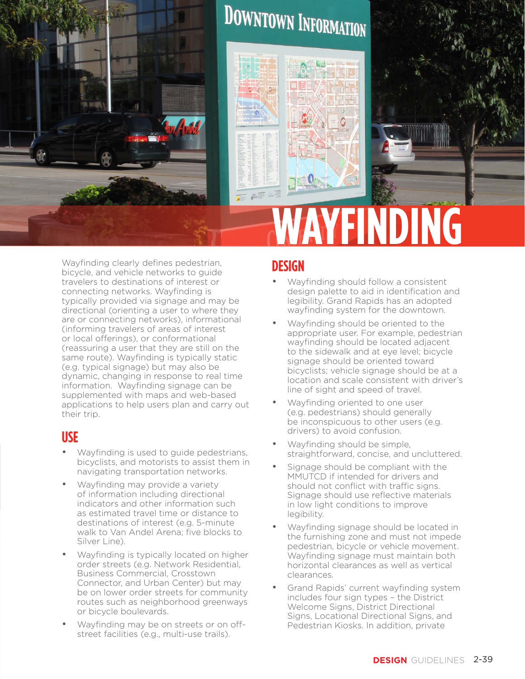

Wayfinding clearly defines pedestrian, bicycle, and vehicle networks to guide travelers to destinations of interest or connecting networks. Wayfinding is typically provided via signage and may be directional (orienting a user to where they are or connecting networks), informational (informing travelers of areas of interest or local offerings), or conformational (reassuring a user that they are still on the same route). Wayfinding is typically static (e.g. typical signage) but may also be dynamic, changing in response to real time information. Wayfinding signage can be supplemented with maps and web-based applications to help users plan and carry out their trip.

#### **USE**

- Wayfinding is used to guide pedestrians, bicyclists, and motorists to assist them in navigating transportation networks.
- Wayfinding may provide a variety of information including directional indicators and other information such as estimated travel time or distance to destinations of interest (e.g. 5-minute walk to Van Andel Arena; five blocks to Silver Line).
- Wayfinding is typically located on higher order streets (e.g. Network Residential, Business Commercial, Crosstown Connector, and Urban Center) but may be on lower order streets for community routes such as neighborhood greenways or bicycle boulevards.
- Wayfinding may be on streets or on offstreet facilities (e.g., multi-use trails).

### **DESIGN**

- Wayfinding should follow a consistent design palette to aid in identification and legibility. Grand Rapids has an adopted wayfinding system for the downtown.
- Wayfinding should be oriented to the appropriate user. For example, pedestrian wayfinding should be located adjacent to the sidewalk and at eye level; bicycle signage should be oriented toward bicyclists; vehicle signage should be at a location and scale consistent with driver's line of sight and speed of travel.
- Wayfinding oriented to one user (e.g. pedestrians) should generally be inconspicuous to other users (e.g. drivers) to avoid confusion.
- Wayfinding should be simple, straightforward, concise, and uncluttered.
- Signage should be compliant with the MMUTCD if intended for drivers and should not conflict with traffic signs. Signage should use reflective materials in low light conditions to improve legibility.
- Wayfinding signage should be located in the furnishing zone and must not impede pedestrian, bicycle or vehicle movement. Wayfinding signage must maintain both horizontal clearances as well as vertical clearances.
- Grand Rapids' current wayfinding system includes four sign types – the District Welcome Signs, District Directional Signs, Locational Directional Signs, and Pedestrian Kiosks. In addition, private